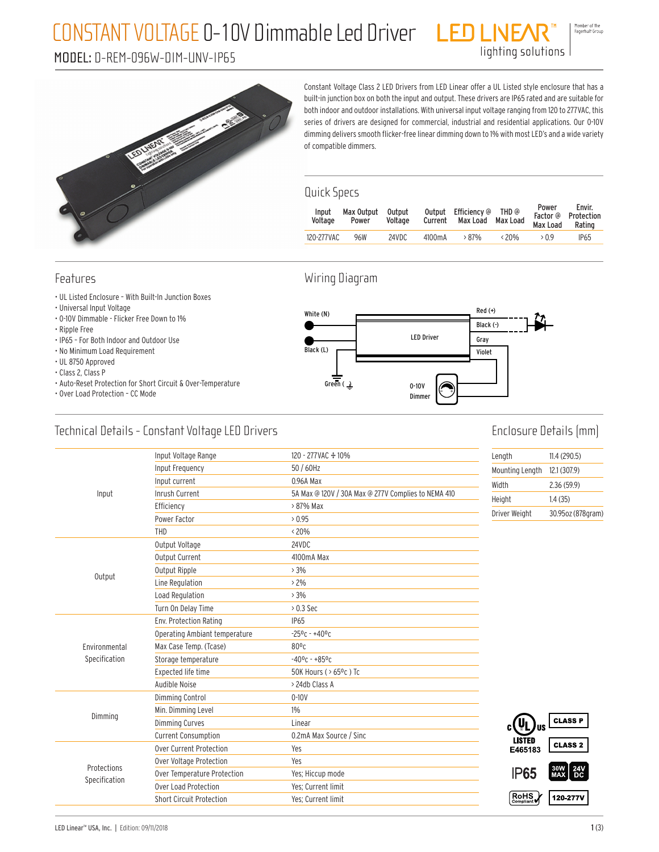### CONSTANT VOLTAGE 0-10V Dimmable Led Driver

#### MODEL: D-REM-096W-DIM-UNV-IP65

Member of the<br>Fagerhult Group

lighting solutions



Constant Voltage Class 2 LED Drivers from LED Linear offer a UL Listed style enclosure that has a built-in junction box on both the input and output. These drivers are IP65 rated and are suitable for both indoor and outdoor installations. With universal input voltage ranging from 120 to 277VAC, this series of drivers are designed for commercial, industrial and residential applications. Our 0-10V dimming delivers smooth flicker-free linear dimming down to 1% with most LED's and a wide variety of compatible dimmers.

#### Quick Specs

| Input<br>Voltage | Max Output<br>Power | Output<br>Voltage |        | Output Efficiency @ THD @<br>Current Max Load Max Load |                | Power<br>Max Load Rating | Envir.<br>Factor @ Protection |
|------------------|---------------------|-------------------|--------|--------------------------------------------------------|----------------|--------------------------|-------------------------------|
| 120-277VAC       | 96W                 | 24VDC             | 4100mA | $>87\%$                                                | $\langle 20\%$ | >0.9                     | <b>IP65</b>                   |
|                  |                     |                   |        |                                                        |                |                          |                               |

#### Features

- UL Listed Enclosure With Built-In Junction Boxes
- Universal Input Voltage
- 0-10V Dimmable Flicker Free Down to 1%
- Ripple Free
- IP65 For Both Indoor and Outdoor Use
- No Minimum Load Requirement
- UL 8750 Approved
- Class 2, Class P
- Auto-Reset Protection for Short Circuit & Over-Temperature
- Over Load Protection CC Mode

#### Wiring Diagram



#### Technical Details - Constant Voltage LED Drivers

### Enclosure Details (mm)

|               | Input Voltage Range             | 120 - 277 VAC + 10%                                 | Length          | 11.4(290.5)         |
|---------------|---------------------------------|-----------------------------------------------------|-----------------|---------------------|
|               | Input Frequency                 | 50 / 60Hz                                           | Mounting Length | 12.1 (307.9)        |
|               | Input current                   | 0.96A Max                                           | Width           | 2.36(59.9)          |
| Input         | <b>Inrush Current</b>           | 5A Max @ 120V / 30A Max @ 277V Complies to NEMA 410 | Height          | 1.4(35)             |
|               | Efficiency                      | > 87% Max                                           | Driver Weight   | 30.95oz (878gram)   |
|               | Power Factor                    | 0.95                                                |                 |                     |
|               | THD                             | $< 20\%$                                            |                 |                     |
|               | Output Voltage                  | 24VDC                                               |                 |                     |
|               | Output Current                  | 4100mA Max                                          |                 |                     |
| Output        | Output Ripple                   | >3%                                                 |                 |                     |
|               | Line Regulation                 | $>2\%$                                              |                 |                     |
|               | Load Regulation                 | $>3\%$                                              |                 |                     |
|               | Turn On Delay Time              | $> 0.3$ Sec                                         |                 |                     |
|               | Env. Protection Rating          | <b>IP65</b>                                         |                 |                     |
|               | Operating Ambiant temperature   | $-25^{\circ}$ c - $+40^{\circ}$ c                   |                 |                     |
| Environmental | Max Case Temp. (Tcase)          | $80^{\circ}$ c                                      |                 |                     |
| Specification | Storage temperature             | $-40$ °C - +85°C                                    |                 |                     |
|               | Expected life time              | 50K Hours ( > 65°c) Tc                              |                 |                     |
|               | Audible Noise                   | > 24db Class A                                      |                 |                     |
|               | Dimming Control                 | $0 - 10V$                                           |                 |                     |
|               | Min. Dimming Level              | $1\%$                                               |                 |                     |
| Dimming       | <b>Dimming Curves</b>           | Linear                                              | , Jus           | <b>CLASS P</b>      |
|               | <b>Current Consumption</b>      | 0.2mA Max Source / Sinc                             | <b>LISTED</b>   |                     |
|               | Over Current Protection         | Yes                                                 | E465183         | <b>CLASS 2</b>      |
| Protections   | Over Voltage Protection         | Yes                                                 |                 |                     |
| Specification | Over Temperature Protection     | Yes; Hiccup mode                                    | <b>IP65</b>     | $30W$ 24V<br>MAX DC |
|               | Over Load Protection            | Yes: Current limit                                  |                 |                     |
|               | <b>Short Circuit Protection</b> | Yes: Current limit                                  | RoHS            | 120-277V            |
|               |                                 |                                                     |                 |                     |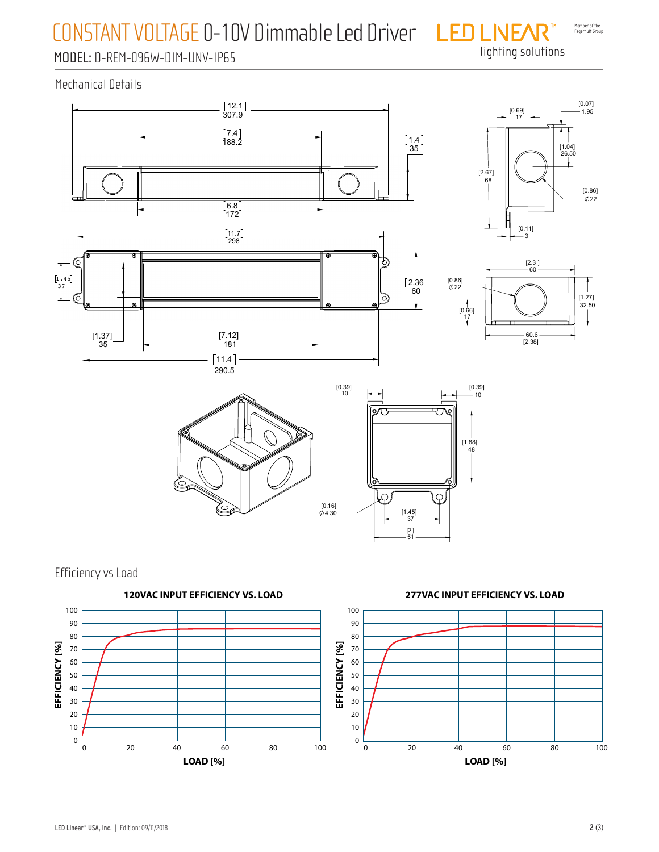## CONSTANT VOLTAGE 0-10V Dimmable Led Driver

Member of the<br>Fagerhult Group lighting solutions

### MODEL: D-REM-096W-DIM-UNV-IP65

Mechanical Details





Efficiency vs Load